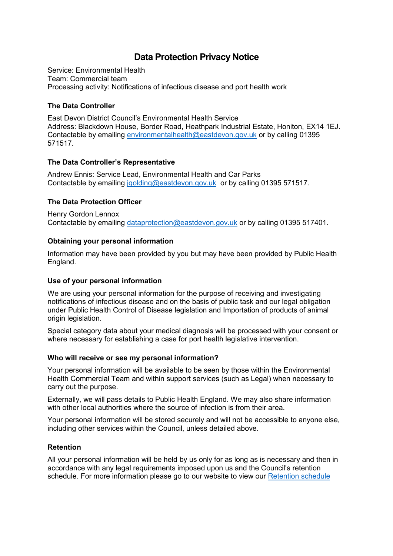# **Data Protection Privacy Notice**

Service: Environmental Health Team: Commercial team Processing activity: Notifications of infectious disease and port health work

## **The Data Controller**

East Devon District Council's Environmental Health Service Address: Blackdown House, Border Road, Heathpark Industrial Estate, Honiton, EX14 1EJ. Contactable by emailing [environmentalhealth@eastdevon.gov.uk](mailto:environmentalhealth@eastdevon.gov.uk) or by calling 01395 571517.

## **The Data Controller's Representative**

Andrew Ennis: Service Lead, Environmental Health and Car Parks Contactable by emailing [jgolding@eastdevon.gov.uk](mailto:jgolding@eastdevon.gov.uk) or by calling 01395 571517.

## **The Data Protection Officer**

Henry Gordon Lennox Contactable by emailing [dataprotection@eastdevon.gov.uk](mailto:dataprotection@eastdevon.gov.uk) or by calling 01395 517401.

### **Obtaining your personal information**

Information may have been provided by you but may have been provided by Public Health England.

### **Use of your personal information**

We are using your personal information for the purpose of receiving and investigating notifications of infectious disease and on the basis of public task and our legal obligation under Public Health Control of Disease legislation and Importation of products of animal origin legislation.

Special category data about your medical diagnosis will be processed with your consent or where necessary for establishing a case for port health legislative intervention.

### **Who will receive or see my personal information?**

Your personal information will be available to be seen by those within the Environmental Health Commercial Team and within support services (such as Legal) when necessary to carry out the purpose.

Externally, we will pass details to Public Health England. We may also share information with other local authorities where the source of infection is from their area.

Your personal information will be stored securely and will not be accessible to anyone else, including other services within the Council, unless detailed above.

### **Retention**

All your personal information will be held by us only for as long as is necessary and then in accordance with any legal requirements imposed upon us and the Council's retention schedule. For more information please go to our website to view our [Retention schedule](http://eastdevon.gov.uk/access-to-information/data-protection/document-retention-schedules/)